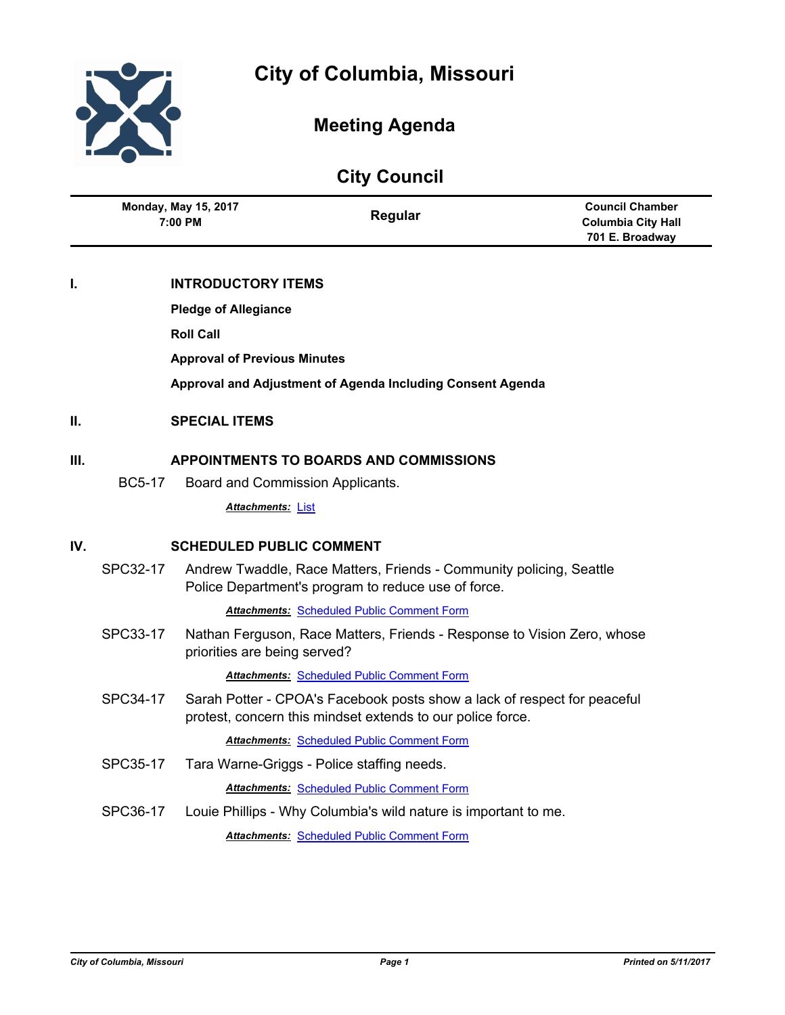

 $\overline{a}$ 

# **Meeting Agenda**

| <b>City Council</b> |                                               |                                        |                                                                                                                                        |                                                                        |  |  |
|---------------------|-----------------------------------------------|----------------------------------------|----------------------------------------------------------------------------------------------------------------------------------------|------------------------------------------------------------------------|--|--|
|                     |                                               | <b>Monday, May 15, 2017</b><br>7:00 PM | Regular                                                                                                                                | <b>Council Chamber</b><br><b>Columbia City Hall</b><br>701 E. Broadway |  |  |
| I.                  |                                               | <b>INTRODUCTORY ITEMS</b>              |                                                                                                                                        |                                                                        |  |  |
|                     |                                               | <b>Pledge of Allegiance</b>            |                                                                                                                                        |                                                                        |  |  |
|                     |                                               | <b>Roll Call</b>                       |                                                                                                                                        |                                                                        |  |  |
|                     |                                               | <b>Approval of Previous Minutes</b>    |                                                                                                                                        |                                                                        |  |  |
|                     |                                               |                                        | Approval and Adjustment of Agenda Including Consent Agenda                                                                             |                                                                        |  |  |
| Ш.                  | <b>SPECIAL ITEMS</b>                          |                                        |                                                                                                                                        |                                                                        |  |  |
| Ш.                  | <b>APPOINTMENTS TO BOARDS AND COMMISSIONS</b> |                                        |                                                                                                                                        |                                                                        |  |  |
|                     | <b>BC5-17</b>                                 |                                        | Board and Commission Applicants.                                                                                                       |                                                                        |  |  |
|                     |                                               | <b>Attachments: List</b>               |                                                                                                                                        |                                                                        |  |  |
| IV.                 |                                               | <b>SCHEDULED PUBLIC COMMENT</b>        |                                                                                                                                        |                                                                        |  |  |
|                     | SPC32-17                                      |                                        | Andrew Twaddle, Race Matters, Friends - Community policing, Seattle<br>Police Department's program to reduce use of force.             |                                                                        |  |  |
|                     |                                               |                                        | <b>Attachments: Scheduled Public Comment Form</b>                                                                                      |                                                                        |  |  |
|                     | SPC33-17                                      | priorities are being served?           | Nathan Ferguson, Race Matters, Friends - Response to Vision Zero, whose                                                                |                                                                        |  |  |
|                     |                                               |                                        | <b>Attachments: Scheduled Public Comment Form</b>                                                                                      |                                                                        |  |  |
|                     | SPC34-17                                      |                                        | Sarah Potter - CPOA's Facebook posts show a lack of respect for peaceful<br>protest, concern this mindset extends to our police force. |                                                                        |  |  |
|                     |                                               |                                        | <b>Attachments: Scheduled Public Comment Form</b>                                                                                      |                                                                        |  |  |
|                     | SPC35-17                                      |                                        | Tara Warne-Griggs - Police staffing needs.                                                                                             |                                                                        |  |  |
|                     |                                               |                                        | <b>Attachments: Scheduled Public Comment Form</b>                                                                                      |                                                                        |  |  |
|                     | SPC36-17                                      |                                        | Louie Phillips - Why Columbia's wild nature is important to me.                                                                        |                                                                        |  |  |
|                     |                                               |                                        | <b>Attachments: Scheduled Public Comment Form</b>                                                                                      |                                                                        |  |  |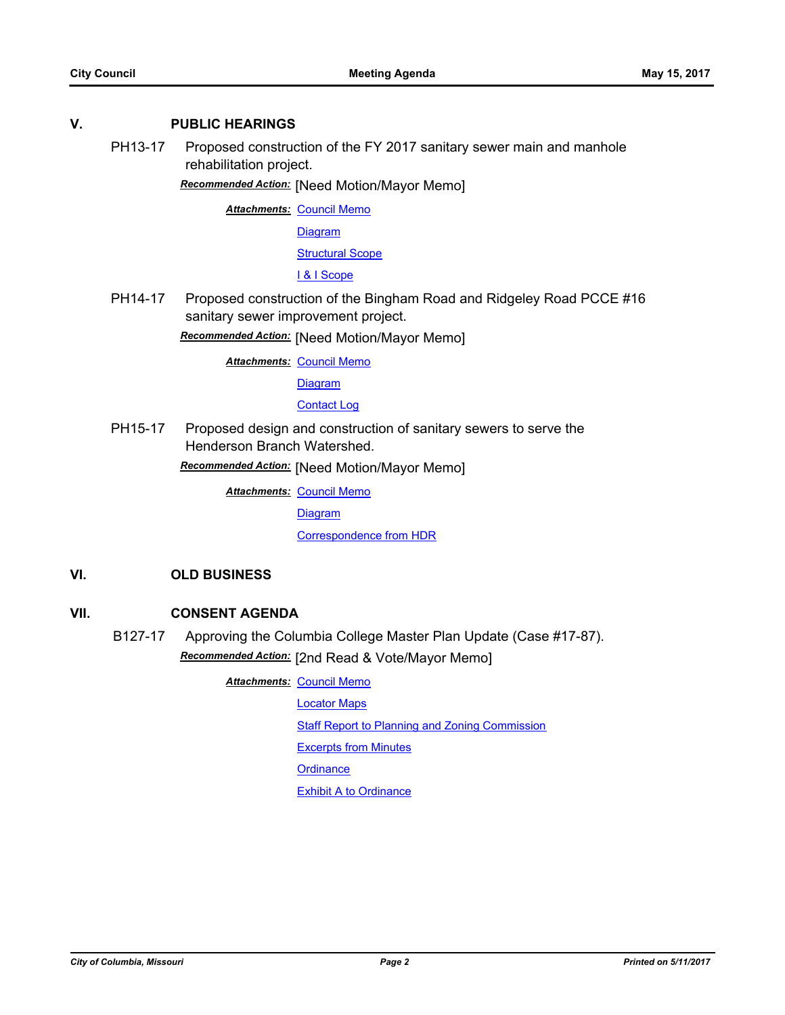#### **V. PUBLIC HEARINGS**

PH13-17 Proposed construction of the FY 2017 sanitary sewer main and manhole rehabilitation project.

*Recommended Action:* [Need Motion/Mayor Memo]

**Attachments: [Council Memo](http://gocolumbiamo.legistar.com/gateway.aspx?M=F&ID=5e1e9424-75e3-446f-b751-e1272623d372.docx)** 

[Diagram](http://gocolumbiamo.legistar.com/gateway.aspx?M=F&ID=faaaa4d2-6e75-42b8-b73c-b170c8d7c781.pdf)

[Structural Scope](http://gocolumbiamo.legistar.com/gateway.aspx?M=F&ID=d99ec66e-4b29-4fa3-9848-429b1c2e760a.pdf)

[I & I Scope](http://gocolumbiamo.legistar.com/gateway.aspx?M=F&ID=65861473-7284-428d-9184-86233cdb6a32.pdf)

PH14-17 Proposed construction of the Bingham Road and Ridgeley Road PCCE #16 sanitary sewer improvement project.

*Recommended Action:* [Need Motion/Mayor Memo]

**Attachments: [Council Memo](http://gocolumbiamo.legistar.com/gateway.aspx?M=F&ID=3f9ff585-63cb-4ff5-961e-32d318613f6e.docx)** 

**[Diagram](http://gocolumbiamo.legistar.com/gateway.aspx?M=F&ID=5b5f7271-afc4-4090-a8a3-bba9173339e6.pdf)** 

#### [Contact Log](http://gocolumbiamo.legistar.com/gateway.aspx?M=F&ID=e69804b1-4f17-40a5-aafd-597a07ea24e6.pdf)

PH15-17 Proposed design and construction of sanitary sewers to serve the Henderson Branch Watershed.

*Recommended Action:* [Need Motion/Mayor Memo]

**Attachments: [Council Memo](http://gocolumbiamo.legistar.com/gateway.aspx?M=F&ID=cb0492a1-48e3-4f02-bfbf-10fef8569a6e.docx)** 

**[Diagram](http://gocolumbiamo.legistar.com/gateway.aspx?M=F&ID=a28d782b-aa15-4508-90f8-7f4dbc9ac5ee.pdf)** 

[Correspondence from HDR](http://gocolumbiamo.legistar.com/gateway.aspx?M=F&ID=02007690-4363-436c-83ba-3eeb805f58ed.pdf)

## **VI. OLD BUSINESS**

#### **VII. CONSENT AGENDA**

B127-17 Approving the Columbia College Master Plan Update (Case #17-87). *Recommended Action:* [2nd Read & Vote/Mayor Memo]

**Attachments: [Council Memo](http://gocolumbiamo.legistar.com/gateway.aspx?M=F&ID=d56cc62f-ba4b-41ea-83a8-70b800d1be71.docx)** 

[Locator Maps](http://gocolumbiamo.legistar.com/gateway.aspx?M=F&ID=a476dd1c-0ada-45c6-b8e6-ba291015c611.pdf)

[Staff Report to Planning and Zoning Commission](http://gocolumbiamo.legistar.com/gateway.aspx?M=F&ID=62d2fd4d-d30c-4f43-8b97-94395bffd5d7.docx)

[Excerpts from Minutes](http://gocolumbiamo.legistar.com/gateway.aspx?M=F&ID=92dadeff-594a-4343-910f-f2f2898d278a.docx)

**[Ordinance](http://gocolumbiamo.legistar.com/gateway.aspx?M=F&ID=19d995bd-e7d3-4935-bade-7f0fd2468bb0.doc)** 

[Exhibit A to Ordinance](http://gocolumbiamo.legistar.com/gateway.aspx?M=F&ID=00001a1b-9b91-452b-9d3c-6e62542c22e5.pdf)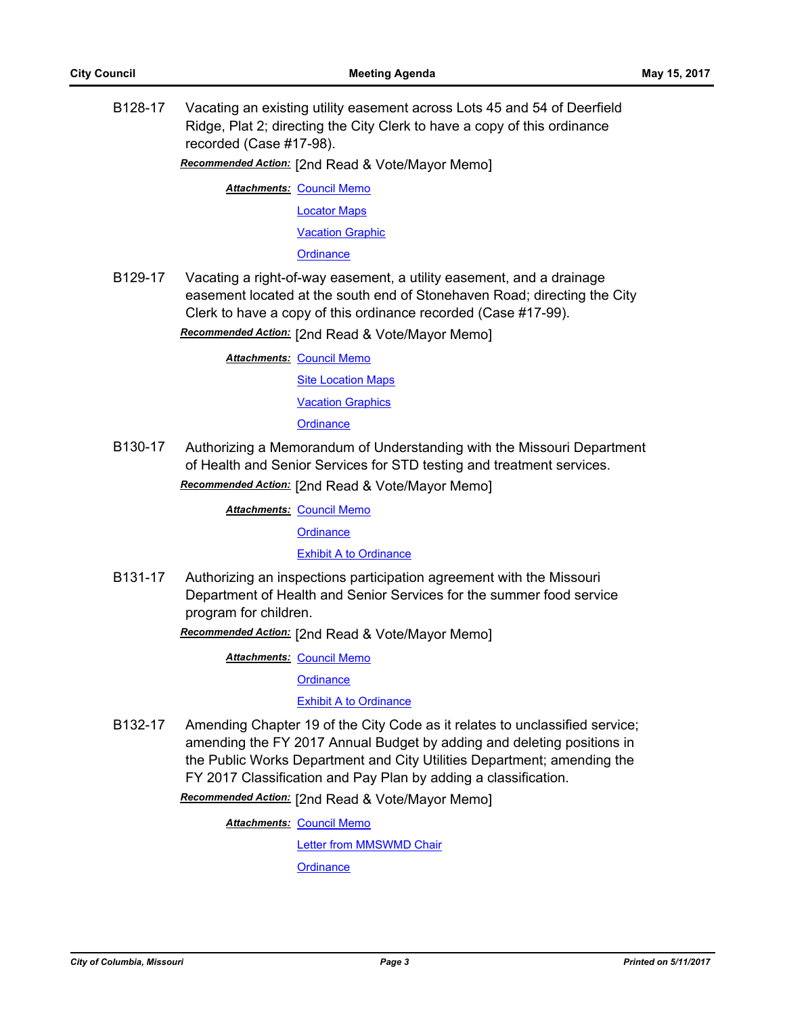B128-17 Vacating an existing utility easement across Lots 45 and 54 of Deerfield Ridge, Plat 2; directing the City Clerk to have a copy of this ordinance recorded (Case #17-98).

*Recommended Action:* [2nd Read & Vote/Mayor Memo]

**Attachments: [Council Memo](http://gocolumbiamo.legistar.com/gateway.aspx?M=F&ID=95440fd2-6e1a-45dd-b158-81a30686a6f2.docx)** 

[Locator Maps](http://gocolumbiamo.legistar.com/gateway.aspx?M=F&ID=6db73848-bc7e-4597-b093-746b778eaed0.pdf)

[Vacation Graphic](http://gocolumbiamo.legistar.com/gateway.aspx?M=F&ID=da1927a0-b8b7-47b8-80da-909282098676.pdf)

**[Ordinance](http://gocolumbiamo.legistar.com/gateway.aspx?M=F&ID=1dd5a7be-f7e3-47e4-bc15-4d14e3b00316.doc)** 

B129-17 Vacating a right-of-way easement, a utility easement, and a drainage easement located at the south end of Stonehaven Road; directing the City Clerk to have a copy of this ordinance recorded (Case #17-99).

*Recommended Action:* [2nd Read & Vote/Mayor Memo]

**Attachments: [Council Memo](http://gocolumbiamo.legistar.com/gateway.aspx?M=F&ID=0fe54c71-7a30-41a9-80b9-9cf05949bd1f.docx) [Site Location Maps](http://gocolumbiamo.legistar.com/gateway.aspx?M=F&ID=bdff2174-c29e-4451-b7db-c51c0a3e3b12.pdf)** [Vacation Graphics](http://gocolumbiamo.legistar.com/gateway.aspx?M=F&ID=201568ac-3660-4f34-9aeb-dd0fc1bde4a7.pdf) **[Ordinance](http://gocolumbiamo.legistar.com/gateway.aspx?M=F&ID=471e936a-00f4-4888-8244-d2741da04449.doc)** 

B130-17 Authorizing a Memorandum of Understanding with the Missouri Department of Health and Senior Services for STD testing and treatment services.

*Recommended Action:* [2nd Read & Vote/Mayor Memo]

**Attachments: [Council Memo](http://gocolumbiamo.legistar.com/gateway.aspx?M=F&ID=bc8ca6a0-4610-42d5-9563-180cc9c0925a.docx)** 

**[Ordinance](http://gocolumbiamo.legistar.com/gateway.aspx?M=F&ID=4ebfdf35-cf23-4df6-9b36-ae5cd551a52e.doc)** 

[Exhibit A to Ordinance](http://gocolumbiamo.legistar.com/gateway.aspx?M=F&ID=9f40143a-890d-46e2-b55d-38a352dfff56.pdf)

B131-17 Authorizing an inspections participation agreement with the Missouri Department of Health and Senior Services for the summer food service program for children.

*Recommended Action:* [2nd Read & Vote/Mayor Memo]

**Attachments: [Council Memo](http://gocolumbiamo.legistar.com/gateway.aspx?M=F&ID=85219c22-5c6a-4821-8ceb-e2ed89c3270c.docx)** 

**[Ordinance](http://gocolumbiamo.legistar.com/gateway.aspx?M=F&ID=43fe13d5-5c46-420d-a8f7-d14e2a68cb0a.doc)** 

[Exhibit A to Ordinance](http://gocolumbiamo.legistar.com/gateway.aspx?M=F&ID=c4cf41c6-714b-42cc-b912-0494074f1324.pdf)

B132-17 Amending Chapter 19 of the City Code as it relates to unclassified service; amending the FY 2017 Annual Budget by adding and deleting positions in the Public Works Department and City Utilities Department; amending the FY 2017 Classification and Pay Plan by adding a classification.

*Recommended Action:* [2nd Read & Vote/Mayor Memo]

**Attachments: [Council Memo](http://gocolumbiamo.legistar.com/gateway.aspx?M=F&ID=5c65644b-59f0-4efc-89f6-f09121d92c00.docx)** [Letter from MMSWMD Chair](http://gocolumbiamo.legistar.com/gateway.aspx?M=F&ID=b717fad2-f09a-4a5c-921d-613ff52d4c82.pdf) **[Ordinance](http://gocolumbiamo.legistar.com/gateway.aspx?M=F&ID=09e9d384-baa6-40cd-920e-5fe5d84440dd.doc)**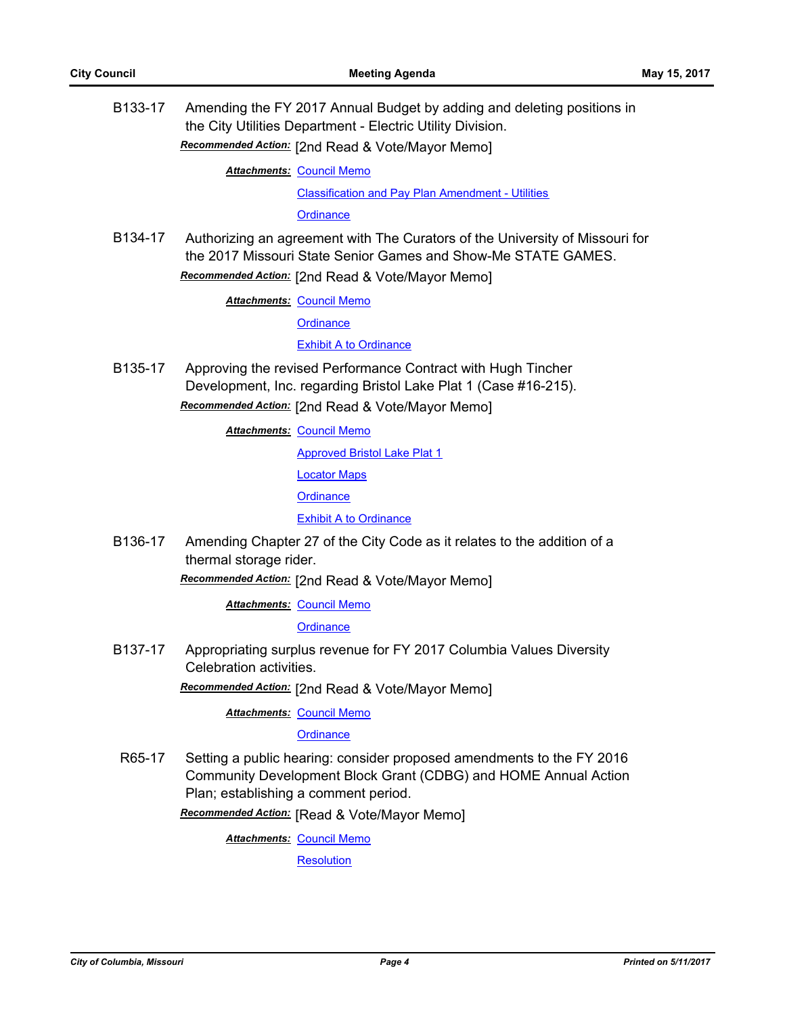B133-17 Amending the FY 2017 Annual Budget by adding and deleting positions in the City Utilities Department - Electric Utility Division. *Recommended Action:* [2nd Read & Vote/Mayor Memo]

**Attachments: [Council Memo](http://gocolumbiamo.legistar.com/gateway.aspx?M=F&ID=d7575f0e-c116-49fe-97dc-3183c4ed4192.docx)** 

[Classification and Pay Plan Amendment - Utilities](http://gocolumbiamo.legistar.com/gateway.aspx?M=F&ID=6620c309-3f5e-4925-ade4-034b00ed16ec.doc)

**[Ordinance](http://gocolumbiamo.legistar.com/gateway.aspx?M=F&ID=cb2b4eb9-04de-4669-b0ff-58b62122824d.doc)** 

B134-17 Authorizing an agreement with The Curators of the University of Missouri for the 2017 Missouri State Senior Games and Show-Me STATE GAMES. *Recommended Action:* [2nd Read & Vote/Mayor Memo]

**Attachments: [Council Memo](http://gocolumbiamo.legistar.com/gateway.aspx?M=F&ID=a477b522-fa90-4634-95d3-ec023e296ddd.docx)** 

**[Ordinance](http://gocolumbiamo.legistar.com/gateway.aspx?M=F&ID=9cd40484-382c-4dbc-82b1-fa81332bfee7.doc)** 

[Exhibit A to Ordinance](http://gocolumbiamo.legistar.com/gateway.aspx?M=F&ID=e9539d9d-d5c3-4f1b-a4b2-7903ed9af8f0.doc)

B135-17 Approving the revised Performance Contract with Hugh Tincher Development, Inc. regarding Bristol Lake Plat 1 (Case #16-215).

*Recommended Action:* [2nd Read & Vote/Mayor Memo]

**Attachments: [Council Memo](http://gocolumbiamo.legistar.com/gateway.aspx?M=F&ID=0cc2e686-950d-41b5-b6d7-9877f49f6510.docx)** 

[Approved Bristol Lake Plat 1](http://gocolumbiamo.legistar.com/gateway.aspx?M=F&ID=d51758f8-a5b4-4b50-8f22-901497305f06.pdf)

[Locator Maps](http://gocolumbiamo.legistar.com/gateway.aspx?M=F&ID=58f82b8e-d1b4-43e4-8030-df17f518c657.pdf)

**[Ordinance](http://gocolumbiamo.legistar.com/gateway.aspx?M=F&ID=1f362bb6-7055-4b5e-8815-972be014b85f.doc)** 

[Exhibit A to Ordinance](http://gocolumbiamo.legistar.com/gateway.aspx?M=F&ID=055675d2-0f43-4709-8c36-dccffe4208d4.pdf)

B136-17 Amending Chapter 27 of the City Code as it relates to the addition of a thermal storage rider.

*Recommended Action:* [2nd Read & Vote/Mayor Memo]

**Attachments: [Council Memo](http://gocolumbiamo.legistar.com/gateway.aspx?M=F&ID=a9937a52-e063-4b3a-a792-82c5e920e1e3.docx)** 

**[Ordinance](http://gocolumbiamo.legistar.com/gateway.aspx?M=F&ID=e2138b81-6cc3-4261-b8c7-e84c39fe7d47.doc)** 

B137-17 Appropriating surplus revenue for FY 2017 Columbia Values Diversity Celebration activities.

*Recommended Action:* [2nd Read & Vote/Mayor Memo]

**Attachments: [Council Memo](http://gocolumbiamo.legistar.com/gateway.aspx?M=F&ID=968a21d0-dd01-42cb-8f50-9f57eab504dd.docx)** 

**[Ordinance](http://gocolumbiamo.legistar.com/gateway.aspx?M=F&ID=10a68076-4cb4-4e77-9658-6b9ddf3348e7.doc)** 

R65-17 Setting a public hearing: consider proposed amendments to the FY 2016 Community Development Block Grant (CDBG) and HOME Annual Action Plan; establishing a comment period.

*Recommended Action:* [Read & Vote/Mayor Memo]

**Attachments: [Council Memo](http://gocolumbiamo.legistar.com/gateway.aspx?M=F&ID=2c1f2c76-e9c6-4039-bf64-bfded5937923.docx)** 

**[Resolution](http://gocolumbiamo.legistar.com/gateway.aspx?M=F&ID=d997073e-4b31-4c24-a109-72422e01e2f4.doc)**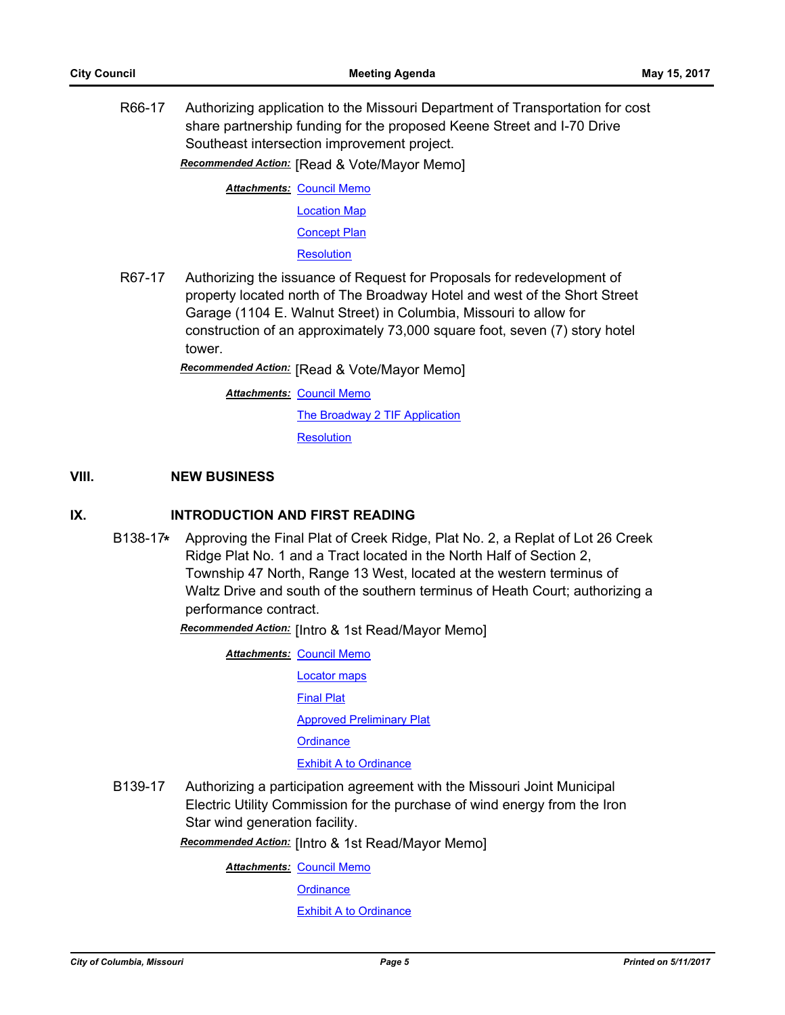R66-17 Authorizing application to the Missouri Department of Transportation for cost share partnership funding for the proposed Keene Street and I-70 Drive Southeast intersection improvement project.

*Recommended Action:* [Read & Vote/Mayor Memo]

**Attachments: [Council Memo](http://gocolumbiamo.legistar.com/gateway.aspx?M=F&ID=97d9e8f6-b649-4927-b2a6-313eaf24fd95.docx)** [Location Map](http://gocolumbiamo.legistar.com/gateway.aspx?M=F&ID=aba57cae-67ea-429c-a53c-7114b9b4a0d4.pdf) [Concept Plan](http://gocolumbiamo.legistar.com/gateway.aspx?M=F&ID=0bfce3eb-e6d5-4848-aa02-10e690b20715.pdf)

**[Resolution](http://gocolumbiamo.legistar.com/gateway.aspx?M=F&ID=be5231be-1c94-4996-b3ff-73ac2382d1e1.doc)** 

R67-17 Authorizing the issuance of Request for Proposals for redevelopment of property located north of The Broadway Hotel and west of the Short Street Garage (1104 E. Walnut Street) in Columbia, Missouri to allow for construction of an approximately 73,000 square foot, seven (7) story hotel tower.

*Recommended Action:* [Read & Vote/Mayor Memo]

**Attachments: [Council Memo](http://gocolumbiamo.legistar.com/gateway.aspx?M=F&ID=0c95df0c-9c3e-4d62-b30b-84630e5d20b7.docx)** 

[The Broadway 2 TIF Application](http://gocolumbiamo.legistar.com/gateway.aspx?M=F&ID=7ef35f1a-64bc-4818-bc29-2b88e9c34bf8.pdf)

**[Resolution](http://gocolumbiamo.legistar.com/gateway.aspx?M=F&ID=974590a6-ed4a-488e-a94c-ee312b5a199e.doc)** 

#### **VIII. NEW BUSINESS**

### **IX. INTRODUCTION AND FIRST READING**

B138-17**\*** Approving the Final Plat of Creek Ridge, Plat No. 2, a Replat of Lot 26 Creek Ridge Plat No. 1 and a Tract located in the North Half of Section 2, Township 47 North, Range 13 West, located at the western terminus of Waltz Drive and south of the southern terminus of Heath Court; authorizing a performance contract.

*Recommended Action:* [Intro & 1st Read/Mayor Memo]

**Attachments: [Council Memo](http://gocolumbiamo.legistar.com/gateway.aspx?M=F&ID=29176b84-f370-4d55-b631-9269be1896ae.docx)** [Locator maps](http://gocolumbiamo.legistar.com/gateway.aspx?M=F&ID=a0edcbf3-630e-4589-bfde-e55b917bcbec.pdf) [Final Plat](http://gocolumbiamo.legistar.com/gateway.aspx?M=F&ID=852f8030-1fc4-4f01-adea-88956079d8a1.pdf) **[Approved Preliminary Plat](http://gocolumbiamo.legistar.com/gateway.aspx?M=F&ID=97042fda-aa7f-4cb2-8a3f-b85e231fceab.pdf) [Ordinance](http://gocolumbiamo.legistar.com/gateway.aspx?M=F&ID=7f834680-1365-4a36-9645-7945edf71c5e.doc)** [Exhibit A to Ordinance](http://gocolumbiamo.legistar.com/gateway.aspx?M=F&ID=ae1de3bf-b5ac-4e4c-bb3a-d9fa1e47c4aa.pdf)

B139-17 Authorizing a participation agreement with the Missouri Joint Municipal Electric Utility Commission for the purchase of wind energy from the Iron Star wind generation facility.

*Recommended Action:* [Intro & 1st Read/Mayor Memo]

**Attachments: [Council Memo](http://gocolumbiamo.legistar.com/gateway.aspx?M=F&ID=99429dde-a50e-4705-9eb4-ec0e8f88573d.docx)** 

**[Ordinance](http://gocolumbiamo.legistar.com/gateway.aspx?M=F&ID=6632bc0c-b43d-4e4c-b4cc-413b3889b02e.doc)** 

[Exhibit A to Ordinance](http://gocolumbiamo.legistar.com/gateway.aspx?M=F&ID=0c06e523-f0f8-4179-b573-01fbf0e77a69.pdf)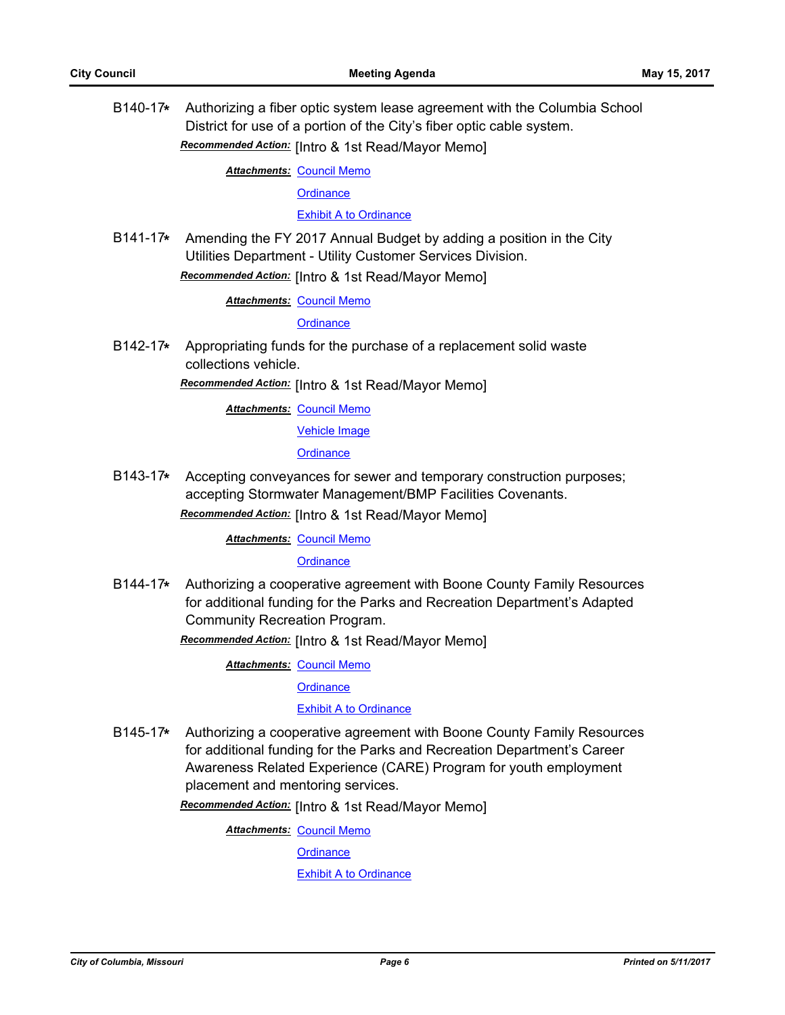B140-17**\*** Authorizing a fiber optic system lease agreement with the Columbia School District for use of a portion of the City's fiber optic cable system. *Recommended Action:* [Intro & 1st Read/Mayor Memo]

**Attachments: [Council Memo](http://gocolumbiamo.legistar.com/gateway.aspx?M=F&ID=a21d95ff-6972-44b1-a385-d1938a392772.docx)** 

**[Ordinance](http://gocolumbiamo.legistar.com/gateway.aspx?M=F&ID=9669dc55-3718-4da9-b55f-ec334a631669.doc)** 

[Exhibit A to Ordinance](http://gocolumbiamo.legistar.com/gateway.aspx?M=F&ID=faada5af-2518-41fc-95b2-93d10e8138e9.pdf)

B141-17**\*** Amending the FY 2017 Annual Budget by adding a position in the City Utilities Department - Utility Customer Services Division. *Recommended Action:* [Intro & 1st Read/Mayor Memo]

**Attachments: [Council Memo](http://gocolumbiamo.legistar.com/gateway.aspx?M=F&ID=381399e2-93a7-437f-8e3b-64351f9d32f0.docx)** 

**[Ordinance](http://gocolumbiamo.legistar.com/gateway.aspx?M=F&ID=43db1ad9-c498-4dc0-a5f6-d1c9d4e2be4e.doc)** 

B142-17**\*** Appropriating funds for the purchase of a replacement solid waste collections vehicle.

*Recommended Action:* [Intro & 1st Read/Mayor Memo]

**Attachments: [Council Memo](http://gocolumbiamo.legistar.com/gateway.aspx?M=F&ID=52a8ef9a-4494-441f-956f-0a7fb36237dd.docx)** 

[Vehicle Image](http://gocolumbiamo.legistar.com/gateway.aspx?M=F&ID=4f4b0670-246e-4cae-a077-39ab27ea2cc7.JPG)

**[Ordinance](http://gocolumbiamo.legistar.com/gateway.aspx?M=F&ID=728b6d84-0bba-4c89-90a4-297c3f72544f.doc)** 

B143-17**\*** Accepting conveyances for sewer and temporary construction purposes; accepting Stormwater Management/BMP Facilities Covenants.

*Recommended Action:* [Intro & 1st Read/Mayor Memo]

**Attachments: [Council Memo](http://gocolumbiamo.legistar.com/gateway.aspx?M=F&ID=ad251f4e-74bf-4321-bc36-45fab146fd64.docx)** 

**[Ordinance](http://gocolumbiamo.legistar.com/gateway.aspx?M=F&ID=6705325c-6b92-4b49-8f30-9219ad8f5c86.doc)** 

B144-17**\*** Authorizing a cooperative agreement with Boone County Family Resources for additional funding for the Parks and Recreation Department's Adapted Community Recreation Program.

*Recommended Action:* [Intro & 1st Read/Mayor Memo]

**Attachments: [Council Memo](http://gocolumbiamo.legistar.com/gateway.aspx?M=F&ID=92025c4c-d39e-4cf3-b1ab-688afc752370.docx)** 

**[Ordinance](http://gocolumbiamo.legistar.com/gateway.aspx?M=F&ID=2f5f47a6-532f-48d9-83e7-895ff7cfa5ec.doc)** 

#### [Exhibit A to Ordinance](http://gocolumbiamo.legistar.com/gateway.aspx?M=F&ID=8baf7c64-a936-49f8-8076-4e95da689eab.pdf)

B145-17**\*** Authorizing a cooperative agreement with Boone County Family Resources for additional funding for the Parks and Recreation Department's Career Awareness Related Experience (CARE) Program for youth employment placement and mentoring services.

*Recommended Action:* [Intro & 1st Read/Mayor Memo]

**Attachments: [Council Memo](http://gocolumbiamo.legistar.com/gateway.aspx?M=F&ID=2f7eb25a-27f7-4c25-9dac-b3f401780b6b.docx)** 

**[Ordinance](http://gocolumbiamo.legistar.com/gateway.aspx?M=F&ID=76cf5d2e-c0eb-4449-8bd2-b3d7dac6edb1.doc)** 

[Exhibit A to Ordinance](http://gocolumbiamo.legistar.com/gateway.aspx?M=F&ID=0ed9fd8c-db68-4459-81b8-85d665742b20.pdf)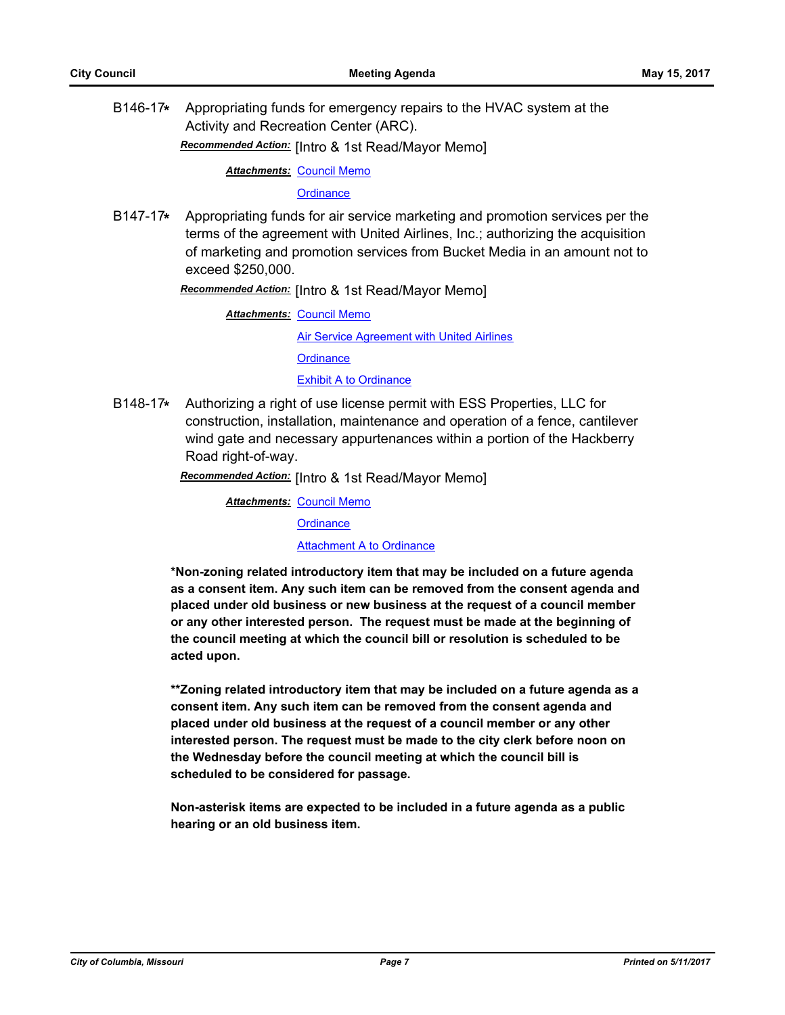B146-17**\*** Appropriating funds for emergency repairs to the HVAC system at the Activity and Recreation Center (ARC).

*Recommended Action:* [Intro & 1st Read/Mayor Memo]

**Attachments: [Council Memo](http://gocolumbiamo.legistar.com/gateway.aspx?M=F&ID=1bc169d6-c261-4d44-b369-62cda86bd52c.docx)** 

**[Ordinance](http://gocolumbiamo.legistar.com/gateway.aspx?M=F&ID=429317b7-da4f-4c5a-8bd5-0027ab46e018.doc)** 

B147-17**\*** Appropriating funds for air service marketing and promotion services per the terms of the agreement with United Airlines, Inc.; authorizing the acquisition of marketing and promotion services from Bucket Media in an amount not to exceed \$250,000.

*Recommended Action:* [Intro & 1st Read/Mayor Memo]

**Attachments: [Council Memo](http://gocolumbiamo.legistar.com/gateway.aspx?M=F&ID=ff00d50c-7e1a-4e15-b97c-b123172dfb40.docx)** [Air Service Agreement with United Airlines](http://gocolumbiamo.legistar.com/gateway.aspx?M=F&ID=f2a60d81-89bc-46dd-8d17-0c6e2bb868ca.pdf) **[Ordinance](http://gocolumbiamo.legistar.com/gateway.aspx?M=F&ID=c1224e5a-b1ea-4f8c-9c68-0383aa78cf2c.doc) [Exhibit A to Ordinance](http://gocolumbiamo.legistar.com/gateway.aspx?M=F&ID=75c56735-e2a5-4189-bcde-1534ab239f2c.pdf)** 

B148-17**\*** Authorizing a right of use license permit with ESS Properties, LLC for construction, installation, maintenance and operation of a fence, cantilever wind gate and necessary appurtenances within a portion of the Hackberry Road right-of-way.

*Recommended Action:* [Intro & 1st Read/Mayor Memo]

**Attachments: [Council Memo](http://gocolumbiamo.legistar.com/gateway.aspx?M=F&ID=1071ea45-f131-40c4-9871-f62d8774e78c.docx)** 

**[Ordinance](http://gocolumbiamo.legistar.com/gateway.aspx?M=F&ID=60aa3fe9-9b36-4458-a155-3bffdb51d3eb.doc)** 

[Attachment A to Ordinance](http://gocolumbiamo.legistar.com/gateway.aspx?M=F&ID=0c2ebd02-c937-41dc-a55e-3dc86eb488b1.pdf)

**\*Non-zoning related introductory item that may be included on a future agenda as a consent item. Any such item can be removed from the consent agenda and placed under old business or new business at the request of a council member or any other interested person. The request must be made at the beginning of the council meeting at which the council bill or resolution is scheduled to be acted upon.** 

**\*\*Zoning related introductory item that may be included on a future agenda as a consent item. Any such item can be removed from the consent agenda and placed under old business at the request of a council member or any other interested person. The request must be made to the city clerk before noon on the Wednesday before the council meeting at which the council bill is scheduled to be considered for passage.**

**Non-asterisk items are expected to be included in a future agenda as a public hearing or an old business item.**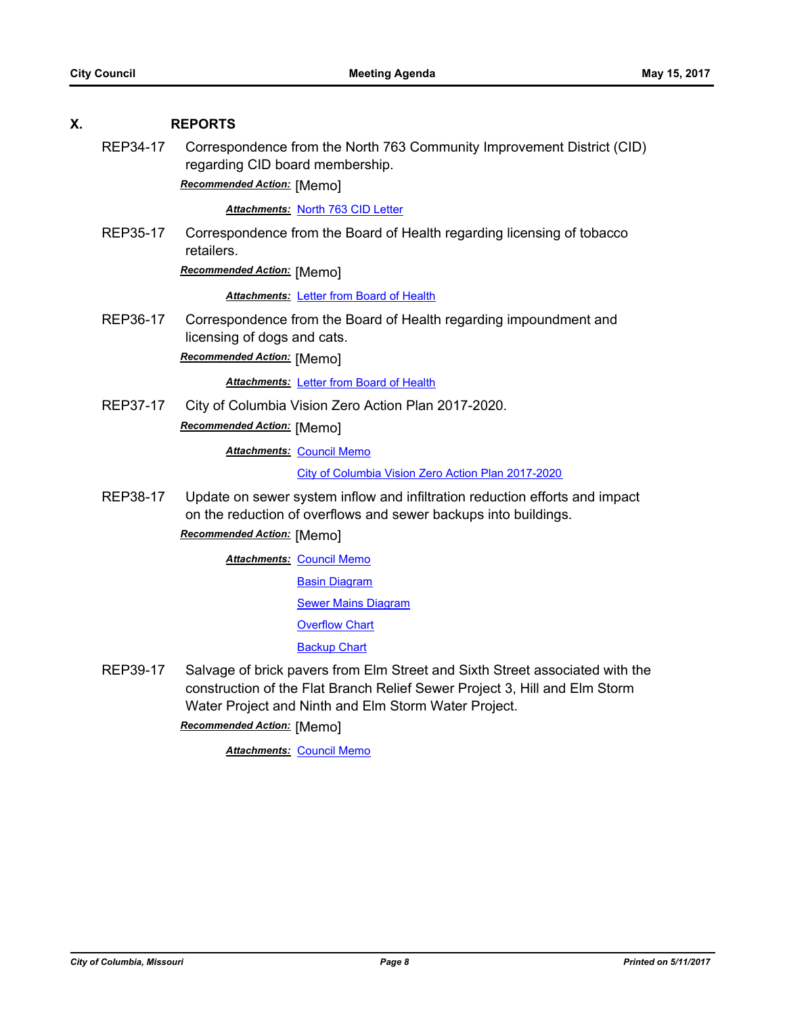#### **X. REPORTS**

REP34-17 Correspondence from the North 763 Community Improvement District (CID) regarding CID board membership.

*Recommended Action:* [Memo]

#### *Attachments:* [North 763 CID Letter](http://gocolumbiamo.legistar.com/gateway.aspx?M=F&ID=c72a9f94-0f38-49e9-ac8f-c39aa783662b.pdf)

REP35-17 Correspondence from the Board of Health regarding licensing of tobacco retailers.

*Recommended Action:* [Memo]

**Attachments: [Letter from Board of Health](http://gocolumbiamo.legistar.com/gateway.aspx?M=F&ID=a66afe1c-2315-4240-8139-f50312917d00.pdf)** 

REP36-17 Correspondence from the Board of Health regarding impoundment and licensing of dogs and cats.

*Recommended Action:* [Memo]

*Attachments:* [Letter from Board of Health](http://gocolumbiamo.legistar.com/gateway.aspx?M=F&ID=8c001f96-3eda-4c18-93ca-5c48d9f0abff.pdf)

REP37-17 City of Columbia Vision Zero Action Plan 2017-2020. *Recommended Action:* [Memo]

**Attachments: [Council Memo](http://gocolumbiamo.legistar.com/gateway.aspx?M=F&ID=10ea1fed-5647-48fb-98e8-10041aeb002b.docx)** 

[City of Columbia Vision Zero Action Plan 2017-2020](http://gocolumbiamo.legistar.com/gateway.aspx?M=F&ID=926c9925-7b71-45ba-8afb-650ead055c25.pdf)

REP38-17 Update on sewer system inflow and infiltration reduction efforts and impact on the reduction of overflows and sewer backups into buildings.

*Recommended Action:* [Memo]

**Attachments: [Council Memo](http://gocolumbiamo.legistar.com/gateway.aspx?M=F&ID=350187a4-5544-4ca3-83db-be131ff76835.docx)** 

[Basin Diagram](http://gocolumbiamo.legistar.com/gateway.aspx?M=F&ID=607b4a61-522e-4b6d-bd74-b58ae81a7b41.pdf)

[Sewer Mains Diagram](http://gocolumbiamo.legistar.com/gateway.aspx?M=F&ID=f6dbfa24-b17a-4869-81aa-bafd4f3c9c7c.pdf)

[Overflow Chart](http://gocolumbiamo.legistar.com/gateway.aspx?M=F&ID=bce19f21-57a6-4e53-9984-34365ea18c4f.pdf)

[Backup Chart](http://gocolumbiamo.legistar.com/gateway.aspx?M=F&ID=b307bae5-6f7b-4d66-846f-e393a18c29aa.pdf)

REP39-17 Salvage of brick pavers from Elm Street and Sixth Street associated with the construction of the Flat Branch Relief Sewer Project 3, Hill and Elm Storm Water Project and Ninth and Elm Storm Water Project.

*Recommended Action:* [Memo]

**Attachments: [Council Memo](http://gocolumbiamo.legistar.com/gateway.aspx?M=F&ID=b50e3c8e-3beb-4a1b-8a21-012b94b8780f.docx)**